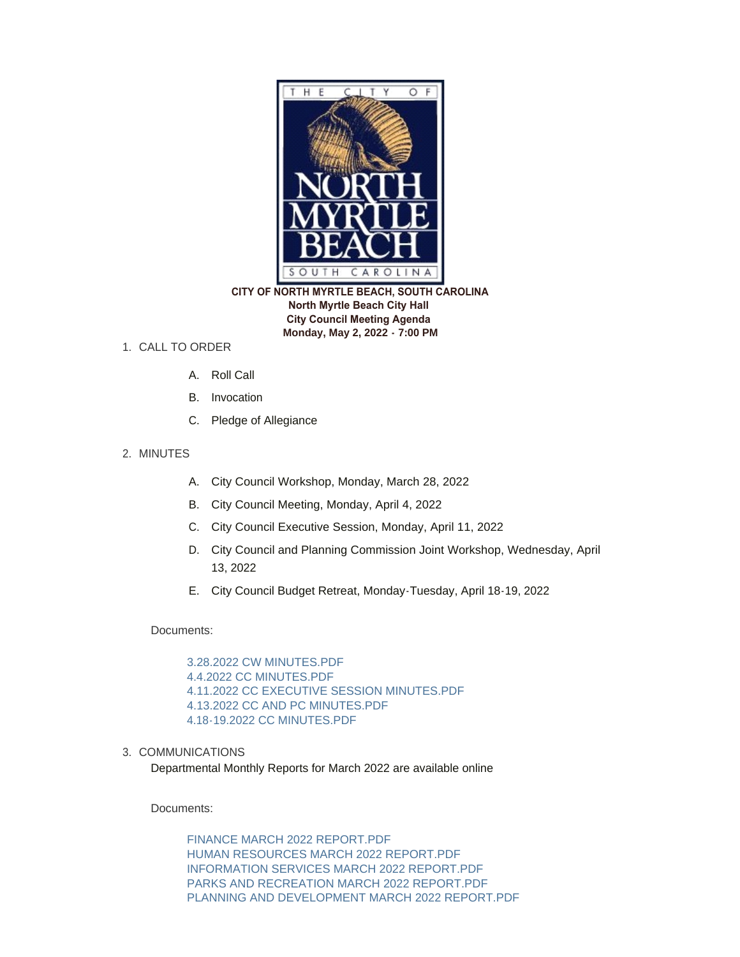

 **CITY OF NORTH MYRTLE BEACH, SOUTH CAROLINA North Myrtle Beach City Hall City Council Meeting Agenda Monday, May 2, 2022 - 7:00 PM**

## 1. CALL TO ORDER

- A. Roll Call
- B. Invocation
- C. Pledge of Allegiance
- 2. MINUTES
	- A. City Council Workshop, Monday, March 28, 2022
	- B. City Council Meeting, Monday, April 4, 2022
	- C. City Council Executive Session, Monday, April 11, 2022
	- D. City Council and Planning Commission Joint Workshop, Wednesday, April 13, 2022
	- E. City Council Budget Retreat, Monday-Tuesday, April 18-19, 2022

Documents:

[3.28.2022 CW MINUTES.PDF](https://www.nmb.us/AgendaCenter/ViewFile/Item/697?fileID=1669) [4.4.2022 CC MINUTES.PDF](https://www.nmb.us/AgendaCenter/ViewFile/Item/697?fileID=1670) [4.11.2022 CC EXECUTIVE SESSION MINUTES.PDF](https://www.nmb.us/AgendaCenter/ViewFile/Item/697?fileID=1671) [4.13.2022 CC AND PC MINUTES.PDF](https://www.nmb.us/AgendaCenter/ViewFile/Item/697?fileID=1672) [4.18-19.2022 CC MINUTES.PDF](https://www.nmb.us/AgendaCenter/ViewFile/Item/697?fileID=1673)

3. COMMUNICATIONS

Departmental Monthly Reports for March 2022 are available online

Documents:

[FINANCE MARCH 2022 REPORT.PDF](https://www.nmb.us/AgendaCenter/ViewFile/Item/698?fileID=1674) [HUMAN RESOURCES MARCH 2022 REPORT.PDF](https://www.nmb.us/AgendaCenter/ViewFile/Item/698?fileID=1675) [INFORMATION SERVICES MARCH 2022 REPORT.PDF](https://www.nmb.us/AgendaCenter/ViewFile/Item/698?fileID=1676) [PARKS AND RECREATION MARCH 2022 REPORT.PDF](https://www.nmb.us/AgendaCenter/ViewFile/Item/698?fileID=1678) [PLANNING AND DEVELOPMENT MARCH 2022 REPORT.PDF](https://www.nmb.us/AgendaCenter/ViewFile/Item/698?fileID=1677)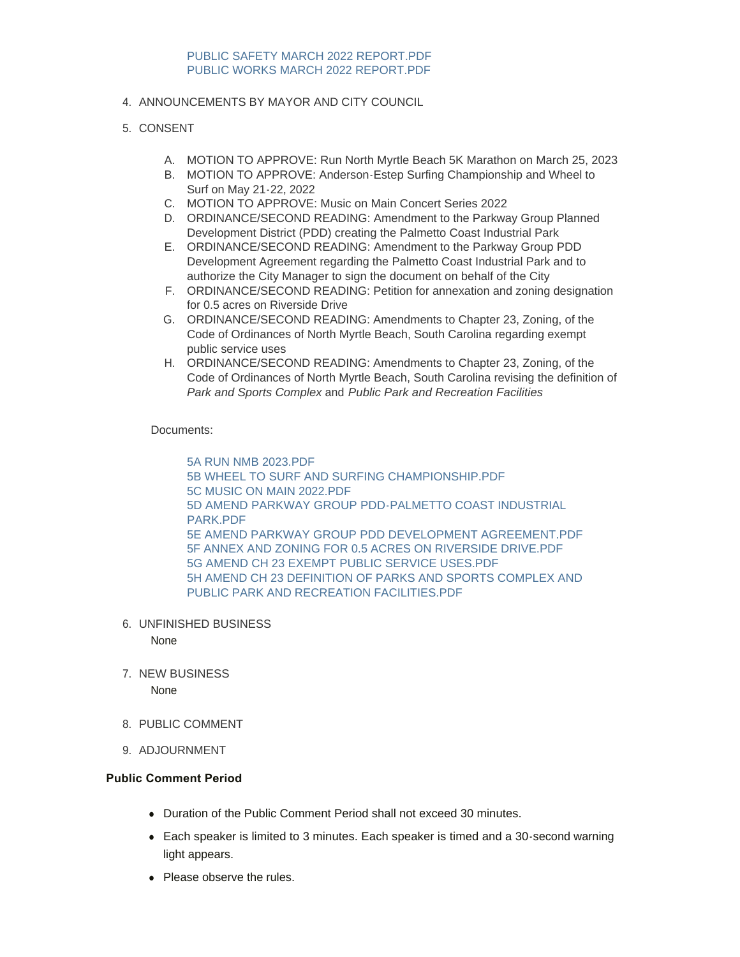## 4. ANNOUNCEMENTS BY MAYOR AND CITY COUNCIL

## 5. CONSENT

- A. MOTION TO APPROVE: Run North Myrtle Beach 5K Marathon on March 25, 2023
- B. MOTION TO APPROVE: Anderson-Estep Surfing Championship and Wheel to Surf on May 21-22, 2022
- C. MOTION TO APPROVE: Music on Main Concert Series 2022
- D. ORDINANCE/SECOND READING: Amendment to the Parkway Group Planned Development District (PDD) creating the Palmetto Coast Industrial Park
- E. ORDINANCE/SECOND READING: Amendment to the Parkway Group PDD Development Agreement regarding the Palmetto Coast Industrial Park and to authorize the City Manager to sign the document on behalf of the City
- F. ORDINANCE/SECOND READING: Petition for annexation and zoning designation for 0.5 acres on Riverside Drive
- G. ORDINANCE/SECOND READING: Amendments to Chapter 23, Zoning, of the Code of Ordinances of North Myrtle Beach, South Carolina regarding exempt public service uses
- H. ORDINANCE/SECOND READING: Amendments to Chapter 23, Zoning, of the Code of Ordinances of North Myrtle Beach, South Carolina revising the definition of *Park and Sports Complex* and *Public Park and Recreation Facilities*

#### Documents:

[5A RUN NMB 2023.PDF](https://www.nmb.us/AgendaCenter/ViewFile/Item/699?fileID=1681) [5B WHEEL TO SURF AND SURFING CHAMPIONSHIP.PDF](https://www.nmb.us/AgendaCenter/ViewFile/Item/699?fileID=1682) [5C MUSIC ON MAIN 2022.PDF](https://www.nmb.us/AgendaCenter/ViewFile/Item/699?fileID=1683) [5D AMEND PARKWAY GROUP PDD-PALMETTO COAST INDUSTRIAL](https://www.nmb.us/AgendaCenter/ViewFile/Item/699?fileID=1684)  PARK.PDF [5E AMEND PARKWAY GROUP PDD DEVELOPMENT AGREEMENT.PDF](https://www.nmb.us/AgendaCenter/ViewFile/Item/699?fileID=1688) [5F ANNEX AND ZONING FOR 0.5 ACRES ON RIVERSIDE DRIVE.PDF](https://www.nmb.us/AgendaCenter/ViewFile/Item/699?fileID=1685) [5G AMEND CH 23 EXEMPT PUBLIC SERVICE USES.PDF](https://www.nmb.us/AgendaCenter/ViewFile/Item/699?fileID=1686) [5H AMEND CH 23 DEFINITION OF PARKS AND SPORTS COMPLEX AND](https://www.nmb.us/AgendaCenter/ViewFile/Item/699?fileID=1687)  PUBLIC PARK AND RECREATION FACILITIES.PDF

UNFINISHED BUSINESS 6.

None

- 7. NEW BUSINESS None
	-
- 8. PUBLIC COMMENT
- 9. ADJOURNMENT

#### **Public Comment Period**

- Duration of the Public Comment Period shall not exceed 30 minutes.
- Each speaker is limited to 3 minutes. Each speaker is timed and a 30-second warning light appears.
- Please observe the rules.